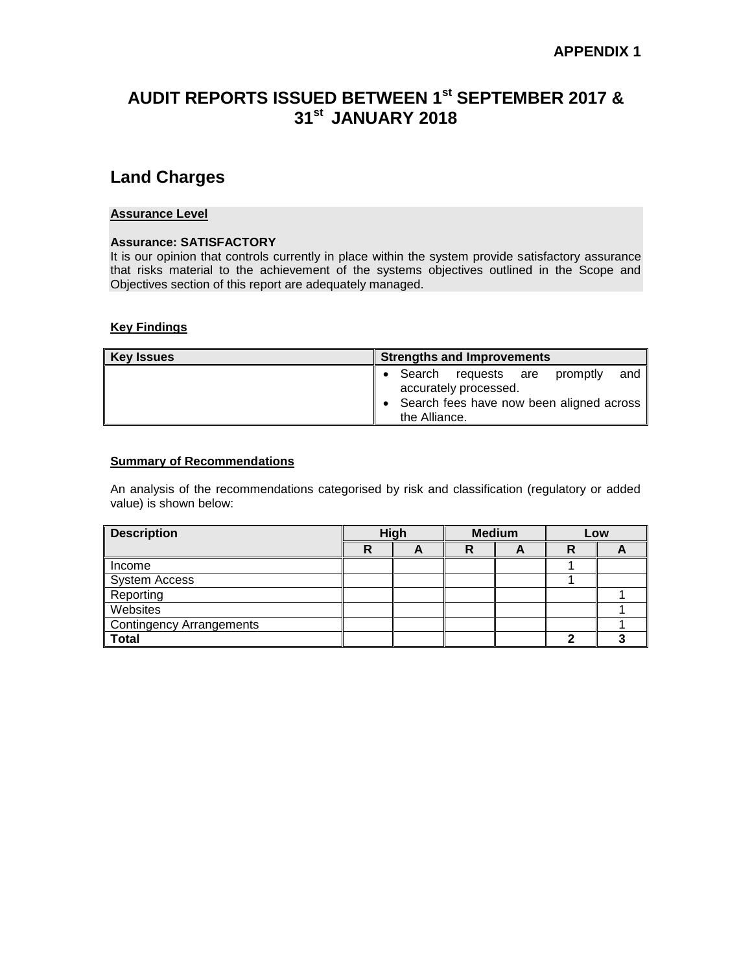# **AUDIT REPORTS ISSUED BETWEEN 1st SEPTEMBER 2017 & 31 st JANUARY 2018**

## **Land Charges**

#### **Assurance Level**

#### **Assurance: SATISFACTORY**

It is our opinion that controls currently in place within the system provide satisfactory assurance that risks material to the achievement of the systems objectives outlined in the Scope and Objectives section of this report are adequately managed.

## **Key Findings**

| Key Issues | <b>Strengths and Improvements</b>                            |  |  |  |  |  |  |  |
|------------|--------------------------------------------------------------|--|--|--|--|--|--|--|
|            | Search requests are promptly<br>and<br>accurately processed. |  |  |  |  |  |  |  |
|            | Search fees have now been aligned across<br>the Alliance.    |  |  |  |  |  |  |  |

#### **Summary of Recommendations**

| <b>Description</b>       | High |  | <b>Medium</b> |   | Low |  |
|--------------------------|------|--|---------------|---|-----|--|
|                          | R    |  | R             | Ē | R   |  |
| Income                   |      |  |               |   |     |  |
| <b>System Access</b>     |      |  |               |   |     |  |
| Reporting                |      |  |               |   |     |  |
| Websites                 |      |  |               |   |     |  |
| Contingency Arrangements |      |  |               |   |     |  |
| <b>Total</b>             |      |  |               |   |     |  |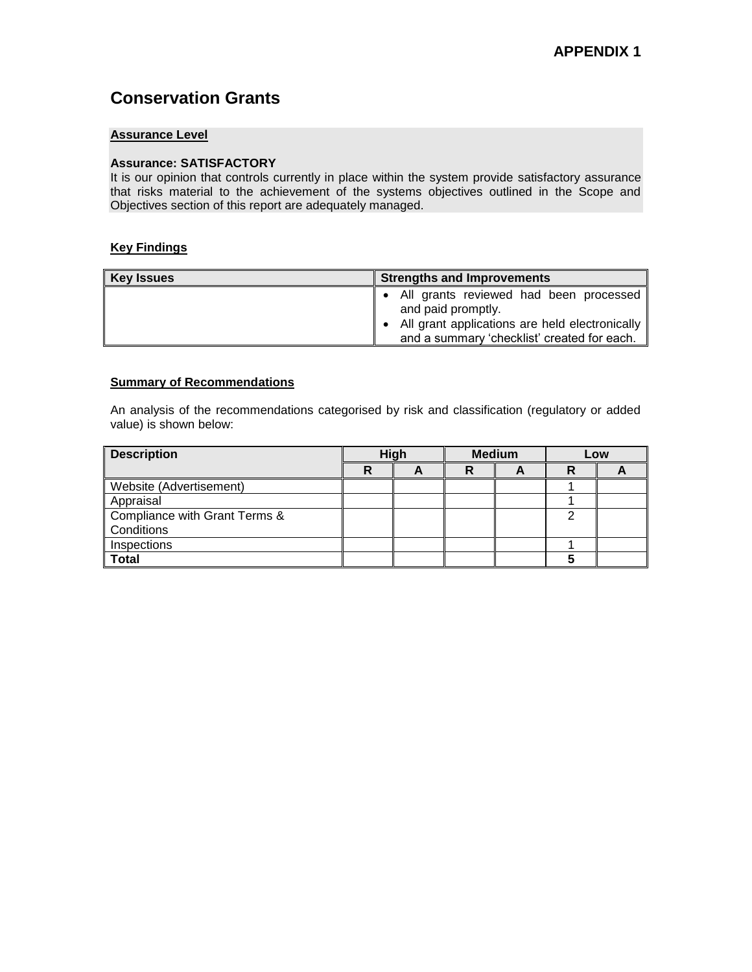# **Conservation Grants**

## **Assurance Level**

#### **Assurance: SATISFACTORY**

It is our opinion that controls currently in place within the system provide satisfactory assurance that risks material to the achievement of the systems objectives outlined in the Scope and Objectives section of this report are adequately managed.

#### **Key Findings**

| <b>Key Issues</b> | Strengths and Improvements                                                                                                                                    |  |  |  |  |  |  |
|-------------------|---------------------------------------------------------------------------------------------------------------------------------------------------------------|--|--|--|--|--|--|
|                   | All grants reviewed had been processed<br>and paid promptly.<br>All grant applications are held electronically<br>and a summary 'checklist' created for each. |  |  |  |  |  |  |

#### **Summary of Recommendations**

| <b>Description</b>            | High |  | <b>Medium</b> |  | Low |  |
|-------------------------------|------|--|---------------|--|-----|--|
|                               | R    |  | R             |  | R   |  |
| Website (Advertisement)       |      |  |               |  |     |  |
| Appraisal                     |      |  |               |  |     |  |
| Compliance with Grant Terms & |      |  |               |  | ◠   |  |
| Conditions                    |      |  |               |  |     |  |
| Inspections                   |      |  |               |  |     |  |
| Total                         |      |  |               |  |     |  |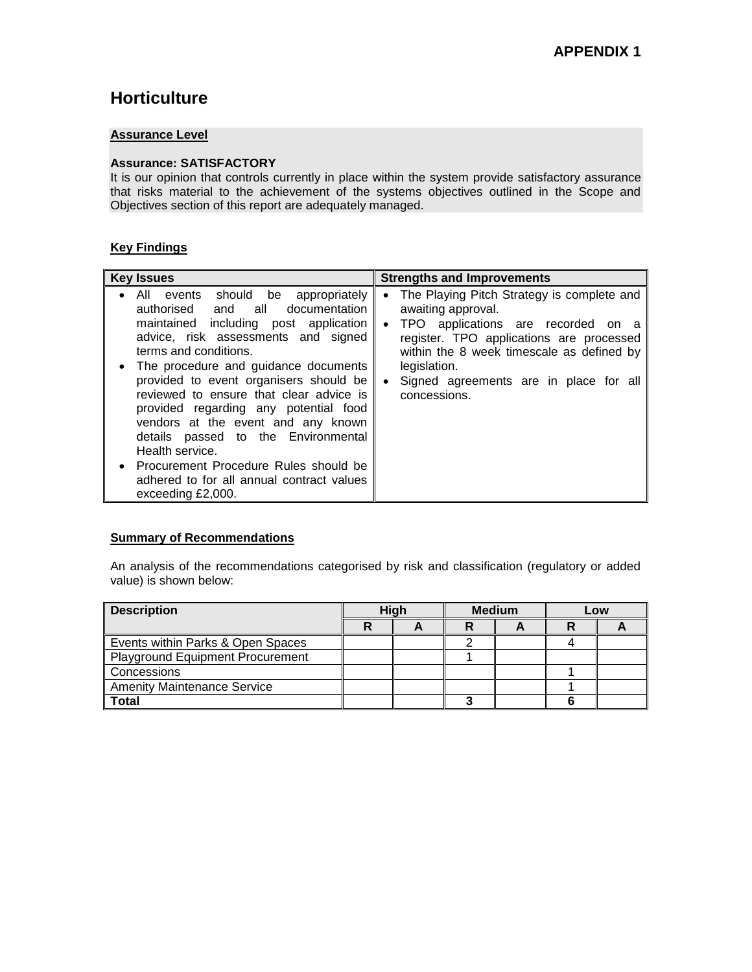# **Horticulture**

## **Assurance Level**

#### **Assurance: SATISFACTORY**

It is our opinion that controls currently in place within the system provide satisfactory assurance that risks material to the achievement of the systems objectives outlined in the Scope and Objectives section of this report are adequately managed.

## **Key Findings**

| <b>Key Issues</b>                                                                                                                                                                                                                                                                                                                                                                                                                                                                                                                                                                 | <b>Strengths and Improvements</b>                                                                                                                                                                                                                                                                                |
|-----------------------------------------------------------------------------------------------------------------------------------------------------------------------------------------------------------------------------------------------------------------------------------------------------------------------------------------------------------------------------------------------------------------------------------------------------------------------------------------------------------------------------------------------------------------------------------|------------------------------------------------------------------------------------------------------------------------------------------------------------------------------------------------------------------------------------------------------------------------------------------------------------------|
| All events should be appropriately<br>$\bullet$<br>authorised and all documentation<br>maintained including post application<br>advice, risk assessments and signed<br>terms and conditions.<br>• The procedure and guidance documents<br>provided to event organisers should be<br>reviewed to ensure that clear advice is<br>provided regarding any potential food<br>vendors at the event and any known<br>details passed to the Environmental<br>Health service.<br>• Procurement Procedure Rules should be<br>adhered to for all annual contract values<br>exceeding £2,000. | The Playing Pitch Strategy is complete and<br>$\bullet$<br>awaiting approval.<br>TPO applications are recorded on a<br>$\bullet$<br>register. TPO applications are processed<br>within the 8 week timescale as defined by<br>legislation.<br>Signed agreements are in place for all<br>$\bullet$<br>concessions. |

### **Summary of Recommendations**

| <b>Description</b>                 | <b>High</b> |  | <b>Medium</b> |  | Low |  |
|------------------------------------|-------------|--|---------------|--|-----|--|
|                                    |             |  |               |  | R   |  |
| Events within Parks & Open Spaces  |             |  |               |  |     |  |
| Playground Equipment Procurement   |             |  |               |  |     |  |
| Concessions                        |             |  |               |  |     |  |
| <b>Amenity Maintenance Service</b> |             |  |               |  |     |  |
| Total                              |             |  |               |  |     |  |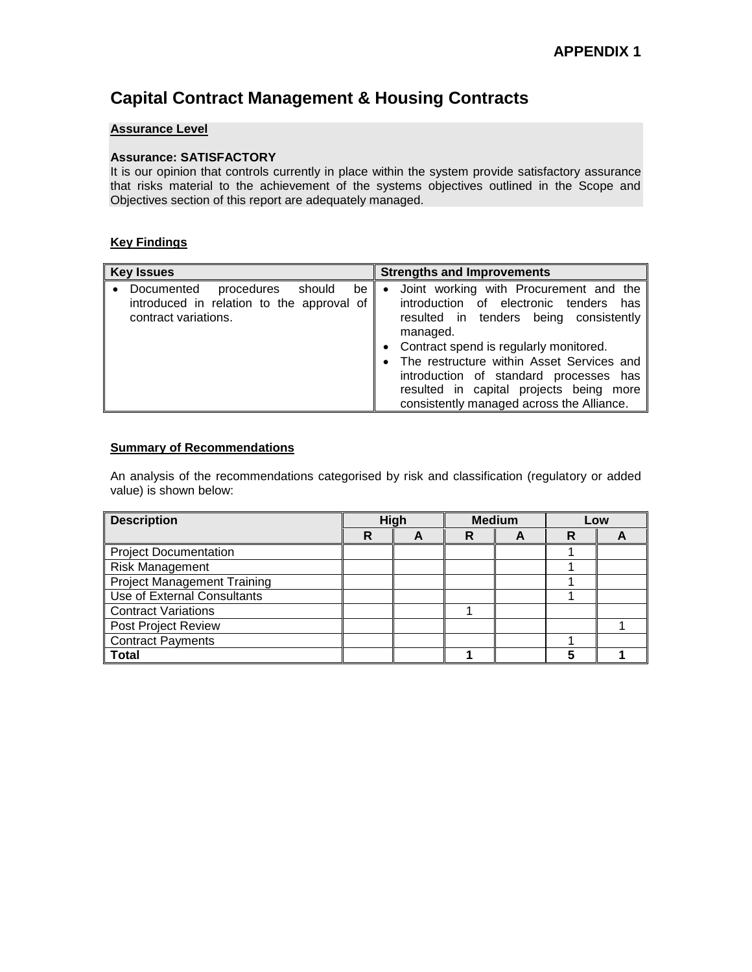# **Capital Contract Management & Housing Contracts**

#### **Assurance Level**

#### **Assurance: SATISFACTORY**

It is our opinion that controls currently in place within the system provide satisfactory assurance that risks material to the achievement of the systems objectives outlined in the Scope and Objectives section of this report are adequately managed.

## **Key Findings**

| <b>Key Issues</b>                                                                                             | <b>Strengths and Improvements</b>                                                                                                                                                                                                                                                                                                                                       |
|---------------------------------------------------------------------------------------------------------------|-------------------------------------------------------------------------------------------------------------------------------------------------------------------------------------------------------------------------------------------------------------------------------------------------------------------------------------------------------------------------|
| Documented<br>should<br>procedures<br>be<br>introduced in relation to the approval of<br>contract variations. | Joint working with Procurement and the<br>٠<br>introduction of electronic tenders<br>has<br>resulted in tenders being consistently<br>managed.<br>Contract spend is regularly monitored.<br>The restructure within Asset Services and<br>introduction of standard processes has<br>resulted in capital projects being more<br>consistently managed across the Alliance. |

#### **Summary of Recommendations**

| <b>Description</b>                 | High |  | <b>Medium</b> |  | Low |  |
|------------------------------------|------|--|---------------|--|-----|--|
|                                    | R    |  | R             |  | R   |  |
| <b>Project Documentation</b>       |      |  |               |  |     |  |
| <b>Risk Management</b>             |      |  |               |  |     |  |
| <b>Project Management Training</b> |      |  |               |  |     |  |
| Use of External Consultants        |      |  |               |  |     |  |
| <b>Contract Variations</b>         |      |  |               |  |     |  |
| Post Project Review                |      |  |               |  |     |  |
| <b>Contract Payments</b>           |      |  |               |  |     |  |
| Total                              |      |  |               |  |     |  |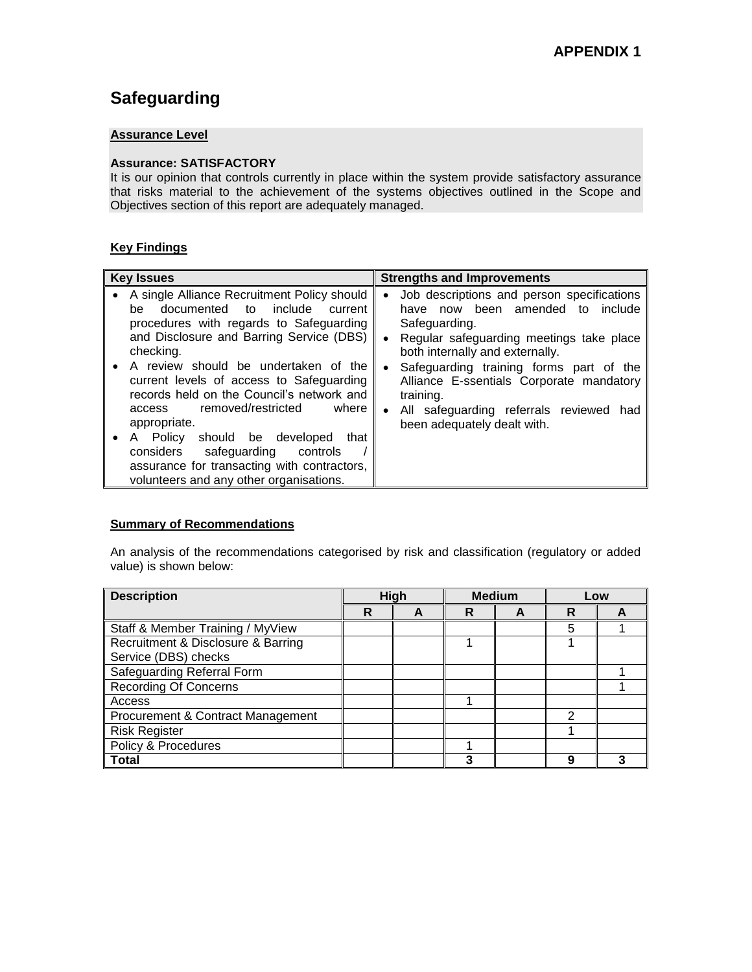# **Safeguarding**

## **Assurance Level**

#### **Assurance: SATISFACTORY**

It is our opinion that controls currently in place within the system provide satisfactory assurance that risks material to the achievement of the systems objectives outlined in the Scope and Objectives section of this report are adequately managed.

## **Key Findings**

| <b>Key Issues</b>                                                                                                                                                                                                                                                                                                                                                                                                                                                                                                                                              | <b>Strengths and Improvements</b>                                                                                                                                                                                                                                                                                                                                                                           |
|----------------------------------------------------------------------------------------------------------------------------------------------------------------------------------------------------------------------------------------------------------------------------------------------------------------------------------------------------------------------------------------------------------------------------------------------------------------------------------------------------------------------------------------------------------------|-------------------------------------------------------------------------------------------------------------------------------------------------------------------------------------------------------------------------------------------------------------------------------------------------------------------------------------------------------------------------------------------------------------|
| A single Alliance Recruitment Policy should<br>documented to include<br>current<br>be<br>procedures with regards to Safeguarding<br>and Disclosure and Barring Service (DBS)<br>checking.<br>A review should be undertaken of the<br>current levels of access to Safeguarding<br>records held on the Council's network and<br>removed/restricted<br>where<br>access<br>appropriate.<br>A Policy should be developed<br>that<br>considers<br>safeguarding<br>controls<br>assurance for transacting with contractors,<br>volunteers and any other organisations. | Job descriptions and person specifications<br>٠<br>have now been amended to include<br>Safeguarding.<br>Regular safeguarding meetings take place<br>$\bullet$<br>both internally and externally.<br>Safeguarding training forms part of the<br>$\bullet$<br>Alliance E-ssentials Corporate mandatory<br>training.<br>All safeguarding referrals reviewed<br>had<br>$\bullet$<br>been adequately dealt with. |

## **Summary of Recommendations**

| <b>Description</b>                 | High |  |   |  | <b>Medium</b> |  | Low |  |
|------------------------------------|------|--|---|--|---------------|--|-----|--|
|                                    | R    |  | R |  | R             |  |     |  |
| Staff & Member Training / MyView   |      |  |   |  | 5             |  |     |  |
| Recruitment & Disclosure & Barring |      |  |   |  |               |  |     |  |
| Service (DBS) checks               |      |  |   |  |               |  |     |  |
| <b>Safeguarding Referral Form</b>  |      |  |   |  |               |  |     |  |
| <b>Recording Of Concerns</b>       |      |  |   |  |               |  |     |  |
| Access                             |      |  |   |  |               |  |     |  |
| Procurement & Contract Management  |      |  |   |  | 2             |  |     |  |
| <b>Risk Register</b>               |      |  |   |  |               |  |     |  |
| Policy & Procedures                |      |  |   |  |               |  |     |  |
| Total                              |      |  | 3 |  | 9             |  |     |  |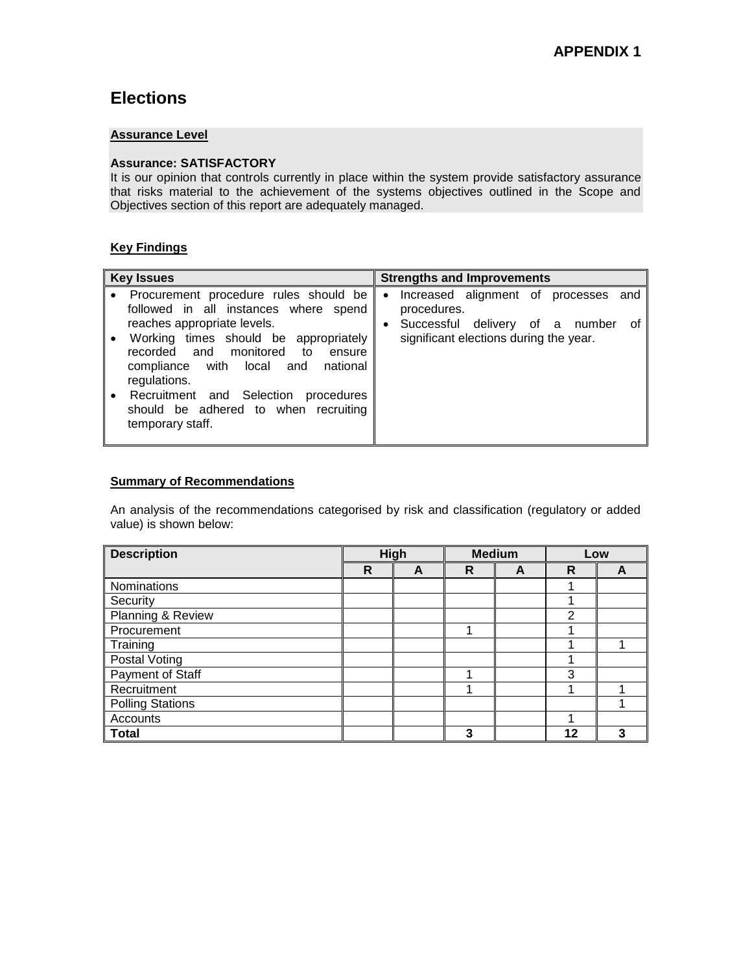# **Elections**

## **Assurance Level**

## **Assurance: SATISFACTORY**

It is our opinion that controls currently in place within the system provide satisfactory assurance that risks material to the achievement of the systems objectives outlined in the Scope and Objectives section of this report are adequately managed.

## **Key Findings**

| <b>Key Issues</b>                                                                                                                                                                                                                                                                                        | <b>Strengths and Improvements</b>                                                       |
|----------------------------------------------------------------------------------------------------------------------------------------------------------------------------------------------------------------------------------------------------------------------------------------------------------|-----------------------------------------------------------------------------------------|
| Procurement procedure rules should be<br>followed in all instances where spend                                                                                                                                                                                                                           | Increased alignment of processes and<br>$\bullet$<br>procedures.                        |
| reaches appropriate levels.<br>Working times should be appropriately<br>$\bullet$<br>recorded and monitored<br>to<br>ensure<br>compliance with local and<br>national<br>regulations.<br>Recruitment and Selection<br>procedures<br>$\bullet$<br>should be adhered to when recruiting<br>temporary staff. | Successful<br>delivery of a number<br>οf<br>٠<br>significant elections during the year. |

## **Summary of Recommendations**

| <b>Description</b>      | High |   | <b>Medium</b> |   | Low |   |
|-------------------------|------|---|---------------|---|-----|---|
|                         | R    | A | R             | A | R   | A |
| Nominations             |      |   |               |   |     |   |
| Security                |      |   |               |   |     |   |
| Planning & Review       |      |   |               |   | 2   |   |
| Procurement             |      |   |               |   |     |   |
| Training                |      |   |               |   |     |   |
| <b>Postal Voting</b>    |      |   |               |   |     |   |
| Payment of Staff        |      |   |               |   | 3   |   |
| Recruitment             |      |   |               |   | л   |   |
| <b>Polling Stations</b> |      |   |               |   |     |   |
| Accounts                |      |   |               |   |     |   |
| <b>Total</b>            |      |   | 3             |   | 12  | 3 |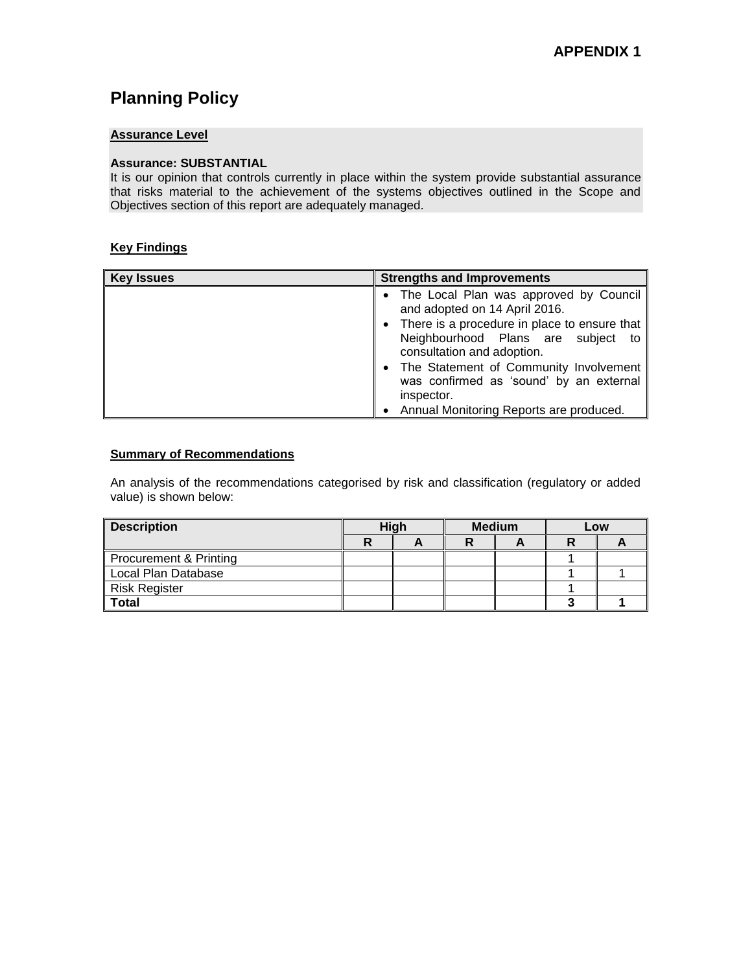# **Planning Policy**

## **Assurance Level**

#### **Assurance: SUBSTANTIAL**

It is our opinion that controls currently in place within the system provide substantial assurance that risks material to the achievement of the systems objectives outlined in the Scope and Objectives section of this report are adequately managed.

### **Key Findings**

| <b>Key Issues</b> | <b>Strengths and Improvements</b>                                                                                  |  |  |  |  |  |  |
|-------------------|--------------------------------------------------------------------------------------------------------------------|--|--|--|--|--|--|
|                   | • The Local Plan was approved by Council<br>and adopted on 14 April 2016.                                          |  |  |  |  |  |  |
|                   | • There is a procedure in place to ensure that<br>Neighbourhood Plans are subject to<br>consultation and adoption. |  |  |  |  |  |  |
|                   | • The Statement of Community Involvement<br>was confirmed as 'sound' by an external<br>inspector.                  |  |  |  |  |  |  |
|                   | Annual Monitoring Reports are produced.                                                                            |  |  |  |  |  |  |

#### **Summary of Recommendations**

| <b>Description</b>     | High |  | <b>Medium</b> |  | Low |  |
|------------------------|------|--|---------------|--|-----|--|
|                        |      |  |               |  |     |  |
| Procurement & Printing |      |  |               |  |     |  |
| Local Plan Database    |      |  |               |  |     |  |
| Risk Register          |      |  |               |  |     |  |
| <b>Total</b>           |      |  |               |  |     |  |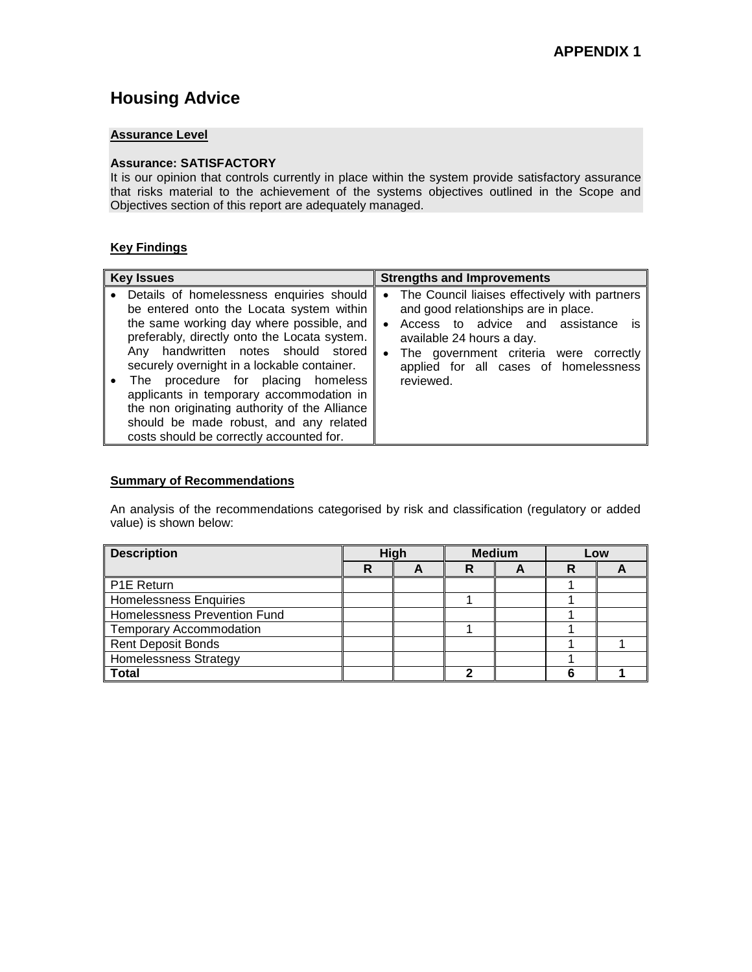# **Housing Advice**

## **Assurance Level**

#### **Assurance: SATISFACTORY**

It is our opinion that controls currently in place within the system provide satisfactory assurance that risks material to the achievement of the systems objectives outlined in the Scope and Objectives section of this report are adequately managed.

## **Key Findings**

| <b>Key Issues</b>                             | <b>Strengths and Improvements</b>             |
|-----------------------------------------------|-----------------------------------------------|
| Details of homelessness enquiries should      | The Council liaises effectively with partners |
| be entered onto the Locata system within      | $\bullet$                                     |
| the same working day where possible, and      | and good relationships are in place.          |
| preferably, directly onto the Locata system.  | Access to advice and assistance               |
| Any handwritten notes should stored           | <b>is</b>                                     |
| securely overnight in a lockable container.   | $\bullet$                                     |
| The procedure for placing homeless            | available 24 hours a day.                     |
| applicants in temporary accommodation in      | The government criteria were correctly        |
| the non originating authority of the Alliance | $\bullet$                                     |
| should be made robust, and any related        | applied for all cases of homelessness         |
| costs should be correctly accounted for.      | reviewed.                                     |

#### **Summary of Recommendations**

| <b>Description</b>           | High |  | <b>Medium</b> |  | Low |  |
|------------------------------|------|--|---------------|--|-----|--|
|                              | R    |  | R             |  | R   |  |
| I P1E Return                 |      |  |               |  |     |  |
| Homelessness Enquiries       |      |  |               |  |     |  |
| Homelessness Prevention Fund |      |  |               |  |     |  |
| Temporary Accommodation      |      |  |               |  |     |  |
| Rent Deposit Bonds           |      |  |               |  |     |  |
| Homelessness Strategy        |      |  |               |  |     |  |
| <b>Total</b>                 |      |  |               |  |     |  |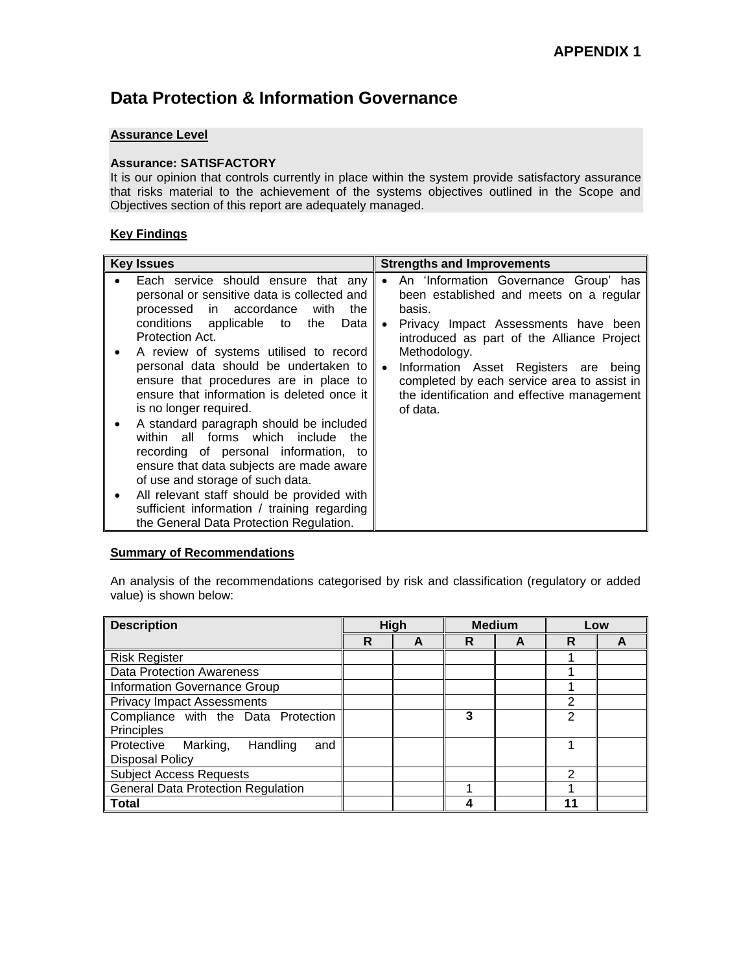# **Data Protection & Information Governance**

## **Assurance Level**

#### **Assurance: SATISFACTORY**

It is our opinion that controls currently in place within the system provide satisfactory assurance that risks material to the achievement of the systems objectives outlined in the Scope and Objectives section of this report are adequately managed.

### **Key Findings**

| <b>Key Issues</b>                                                                                                                                                                                                                                                                                                                                                                                                                                                                                                                                                                                                                                                                                                                                             | <b>Strengths and Improvements</b>                                                                                                                                                                                                                                                                                                                                                             |
|---------------------------------------------------------------------------------------------------------------------------------------------------------------------------------------------------------------------------------------------------------------------------------------------------------------------------------------------------------------------------------------------------------------------------------------------------------------------------------------------------------------------------------------------------------------------------------------------------------------------------------------------------------------------------------------------------------------------------------------------------------------|-----------------------------------------------------------------------------------------------------------------------------------------------------------------------------------------------------------------------------------------------------------------------------------------------------------------------------------------------------------------------------------------------|
| Each service should ensure that any<br>personal or sensitive data is collected and<br>processed in accordance with<br>the<br>conditions applicable to<br>the<br>Data I<br>Protection Act.<br>A review of systems utilised to record<br>personal data should be undertaken to<br>ensure that procedures are in place to<br>ensure that information is deleted once it<br>is no longer required.<br>A standard paragraph should be included<br>within all forms which include the<br>recording of personal information, to<br>ensure that data subjects are made aware<br>of use and storage of such data.<br>All relevant staff should be provided with<br>$\bullet$<br>sufficient information / training regarding<br>the General Data Protection Regulation. | An 'Information Governance Group' has<br>$\bullet$<br>been established and meets on a regular<br>basis.<br>Privacy Impact Assessments have been<br>$\bullet$<br>introduced as part of the Alliance Project<br>Methodology.<br>Information Asset Registers are<br>being<br>$\bullet$<br>completed by each service area to assist in<br>the identification and effective management<br>of data. |

## **Summary of Recommendations**

| <b>Description</b>                        | High |   | <b>Medium</b> |   | Low            |  |
|-------------------------------------------|------|---|---------------|---|----------------|--|
|                                           | R    | A | R             | A | R              |  |
| <b>Risk Register</b>                      |      |   |               |   |                |  |
| <b>Data Protection Awareness</b>          |      |   |               |   |                |  |
| Information Governance Group              |      |   |               |   |                |  |
| <b>Privacy Impact Assessments</b>         |      |   |               |   | 2              |  |
| Compliance with the Data Protection       |      |   | 3             |   | $\mathfrak{p}$ |  |
| Principles                                |      |   |               |   |                |  |
| Protective<br>Marking,<br>Handling<br>and |      |   |               |   |                |  |
| <b>Disposal Policy</b>                    |      |   |               |   |                |  |
| <b>Subject Access Requests</b>            |      |   |               |   | 2              |  |
| <b>General Data Protection Regulation</b> |      |   |               |   |                |  |
| <b>Total</b>                              |      |   |               |   | 11             |  |